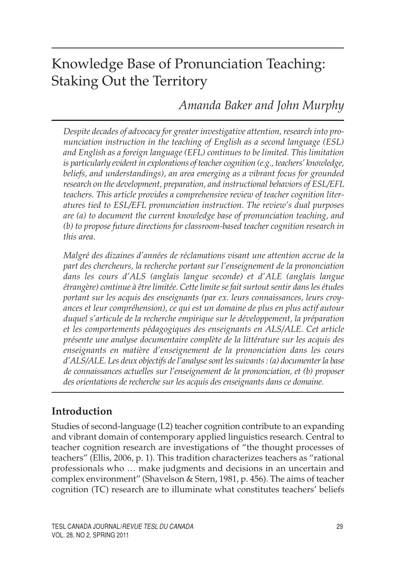# Knowledge Base of Pronunciation Teaching: Staking Out the Territory

*Amanda Baker and John Murphy*

*Despite decades of advocacy for greater investigative attention, research into pronunciation instruction in the teaching of English as a second language (ESL) and English as a foreign language (EFL) continues to be limited. This limitation is particularly evident in explorations of teacher cognition (e.g., teachers' knowledge, beliefs, and understandings), an area emerging as a vibrant focus for grounded research on the development, preparation, and instructional behaviors of ESL/EFL teachers. This article provides a comprehensive review of teacher cognition literatures tied to ESL/EFL pronunciation instruction. The review's dual purposes are (a) to document the current knowledge base of pronunciation teaching, and (b) to propose future directions for classroom-based teacher cognition research in this area.*

*Malgré des dizaines d'années de réclamations visant une attention accrue de la part des chercheurs, la recherche portant sur l'enseignement de la prononciation dans les cours d'ALS (anglais langue seconde) et d'ALE (anglais langue étrangère) continue à être limitée. Cette limite se fait surtout sentir dans les études portant sur les acquis des enseignants (par ex. leurs connaissances, leurs croyances et leur compréhension), ce qui est un domaine de plus en plus actif autour duquel s'articule de la recherche empirique sur le développement, la préparation et les comportements pédagogiques des enseignants en ALS/ALE. Cet article présente une analyse documentaire complète de la littérature sur les acquis des enseignants en matière d'enseignement de la prononciation dans les cours d'ALS/ALE. Les deux objectifs de l'analyse sont les suivants : (a) documenter la base de connaissances actuelles sur l'enseignement de la prononciation, et (b) proposer des orientations de recherche sur les acquis des enseignants dans ce domaine.*

### **Introduction**

Studies of second-language (L2) teacher cognition contribute to an expanding and vibrant domain of contemporary applied linguistics research. Central to teacher cognition research are investigations of "the thought processes of teachers" (Ellis, 2006, p. 1). This tradition characterizes teachers as "rational professionals who … make judgments and decisions in an uncertain and complex environment" (Shavelson & Stern, 1981, p. 456). The aims of teacher cognition (TC) research are to illuminate what constitutes teachers' beliefs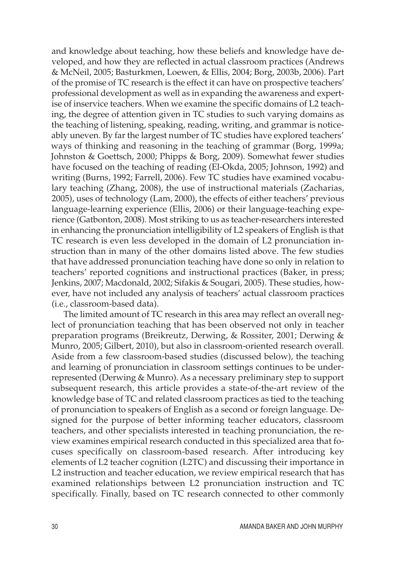and knowledge about teaching, how these beliefs and knowledge have developed, and how they are reflected in actual classroom practices (Andrews & McNeil, 2005; Basturkmen, Loewen, & Ellis, 2004; Borg, 2003b, 2006). Part of the promise of TC research is the effect it can have on prospective teachers' professional development as well as in expanding the awareness and expertise of inservice teachers. When we examine the specific domains of L2 teaching, the degree of attention given in TC studies to such varying domains as the teaching of listening, speaking, reading, writing, and grammar is noticeably uneven. By far the largest number of TC studies have explored teachers' ways of thinking and reasoning in the teaching of grammar (Borg, 1999a; Johnston & Goettsch, 2000; Phipps & Borg, 2009). Somewhat fewer studies have focused on the teaching of reading (El-Okda, 2005; Johnson, 1992) and writing (Burns, 1992; Farrell, 2006). Few TC studies have examined vocabulary teaching (Zhang, 2008), the use of instructional materials (Zacharias, 2005), uses of technology (Lam, 2000), the effects of either teachers' previous language-learning experience (Ellis, 2006) or their language-teaching experience (Gatbonton, 2008). Most striking to us as teacher-researchers interested in enhancing the pronunciation intelligibility of L2 speakers of English is that TC research is even less developed in the domain of L2 pronunciation instruction than in many of the other domains listed above. The few studies that have addressed pronunciation teaching have done so only in relation to teachers' reported cognitions and instructional practices (Baker, in press; Jenkins, 2007; Macdonald, 2002; Sifakis & Sougari, 2005). These studies, however, have not included any analysis of teachers' actual classroom practices (i.e., classroom-based data).

The limited amount of TC research in this area may reflect an overall neglect of pronunciation teaching that has been observed not only in teacher preparation programs (Breikreutz, Derwing, & Rossiter, 2001; Derwing & Munro, 2005; Gilbert, 2010), but also in classroom-oriented research overall. Aside from a few classroom-based studies (discussed below), the teaching and learning of pronunciation in classroom settings continues to be underrepresented (Derwing & Munro). As a necessary preliminary step to support subsequent research, this article provides a state-of-the-art review of the knowledge base of TC and related classroom practices as tied to the teaching of pronunciation to speakers of English as a second or foreign language. Designed for the purpose of better informing teacher educators, classroom teachers, and other specialists interested in teaching pronunciation, the review examines empirical research conducted in this specialized area that focuses specifically on classroom-based research. After introducing key elements of L2 teacher cognition (L2TC) and discussing their importance in L2 instruction and teacher education, we review empirical research that has examined relationships between L2 pronunciation instruction and TC specifically. Finally, based on TC research connected to other commonly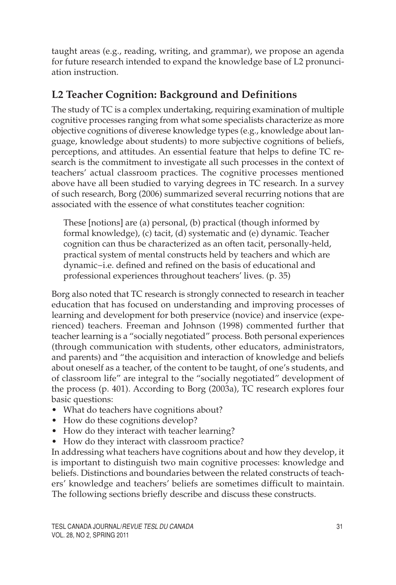taught areas (e.g., reading, writing, and grammar), we propose an agenda for future research intended to expand the knowledge base of L2 pronunciation instruction.

# **L2 Teacher Cognition: Background and Definitions**

The study of TC is a complex undertaking, requiring examination of multiple cognitive processes ranging from what some specialists characterize as more objective cognitions of diverese knowledge types (e.g., knowledge about language, knowledge about students) to more subjective cognitions of beliefs, perceptions, and attitudes. An essential feature that helps to define TC research is the commitment to investigate all such processes in the context of teachers' actual classroom practices. The cognitive processes mentioned above have all been studied to varying degrees in TC research. In a survey of such research, Borg (2006) summarized several recurring notions that are associated with the essence of what constitutes teacher cognition:

These [notions] are (a) personal, (b) practical (though informed by formal knowledge), (c) tacit, (d) systematic and (e) dynamic. Teacher cognition can thus be characterized as an often tacit, personally-held, practical system of mental constructs held by teachers and which are dynamic−i.e. defined and refined on the basis of educational and professional experiences throughout teachers' lives. (p. 35)

Borg also noted that TC research is strongly connected to research in teacher education that has focused on understanding and improving processes of learning and development for both preservice (novice) and inservice (experienced) teachers. Freeman and Johnson (1998) commented further that teacher learning is a "socially negotiated" process. Both personal experiences (through communication with students, other educators, administrators, and parents) and "the acquisition and interaction of knowledge and beliefs about oneself as a teacher, of the content to be taught, of one's students, and of classroom life" are integral to the "socially negotiated" development of the process (p. 401). According to Borg (2003a), TC research explores four basic questions:

- What do teachers have cognitions about?
- How do these cognitions develop?
- How do they interact with teacher learning?
- How do they interact with classroom practice?

In addressing what teachers have cognitions about and how they develop, it is important to distinguish two main cognitive processes: knowledge and beliefs. Distinctions and boundaries between the related constructs of teachers' knowledge and teachers' beliefs are sometimes difficult to maintain. The following sections briefly describe and discuss these constructs.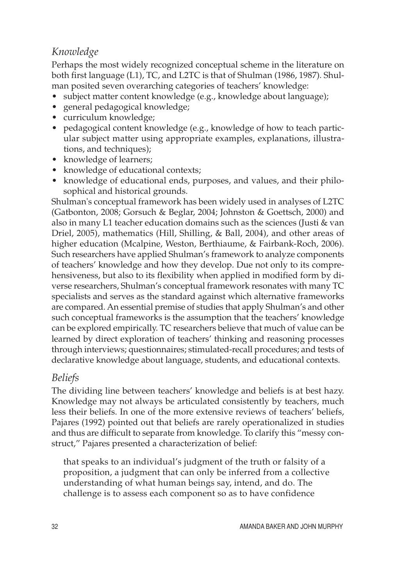# *Knowledge*

Perhaps the most widely recognized conceptual scheme in the literature on both first language (L1), TC, and L2TC is that of Shulman (1986, 1987). Shulman posited seven overarching categories of teachers' knowledge:

- subject matter content knowledge (e.g., knowledge about language);
- general pedagogical knowledge;
- curriculum knowledge;
- pedagogical content knowledge (e.g., knowledge of how to teach particular subject matter using appropriate examples, explanations, illustrations, and techniques);
- knowledge of learners;
- knowledge of educational contexts;
- knowledge of educational ends, purposes, and values, and their philosophical and historical grounds.

Shulman's conceptual framework has been widely used in analyses of L2TC (Gatbonton, 2008; Gorsuch & Beglar, 2004; Johnston & Goettsch, 2000) and also in many L1 teacher education domains such as the sciences (Justi & van Driel, 2005), mathematics (Hill, Shilling, & Ball, 2004), and other areas of higher education (Mcalpine, Weston, Berthiaume, & Fairbank-Roch, 2006). Such researchers have applied Shulman's framework to analyze components of teachers' knowledge and how they develop. Due not only to its comprehensiveness, but also to its flexibility when applied in modified form by diverse researchers, Shulman's conceptual framework resonates with many TC specialists and serves as the standard against which alternative frameworks are compared. An essential premise of studies that apply Shulman's and other such conceptual frameworks is the assumption that the teachers' knowledge can be explored empirically. TC researchers believe that much of value can be learned by direct exploration of teachers' thinking and reasoning processes through interviews; questionnaires; stimulated-recall procedures; and tests of declarative knowledge about language, students, and educational contexts.

### *Beliefs*

The dividing line between teachers' knowledge and beliefs is at best hazy. Knowledge may not always be articulated consistently by teachers, much less their beliefs. In one of the more extensive reviews of teachers' beliefs, Pajares (1992) pointed out that beliefs are rarely operationalized in studies and thus are difficult to separate from knowledge. To clarify this "messy construct," Pajares presented a characterization of belief:

that speaks to an individual's judgment of the truth or falsity of a proposition, a judgment that can only be inferred from a collective understanding of what human beings say, intend, and do. The challenge is to assess each component so as to have confidence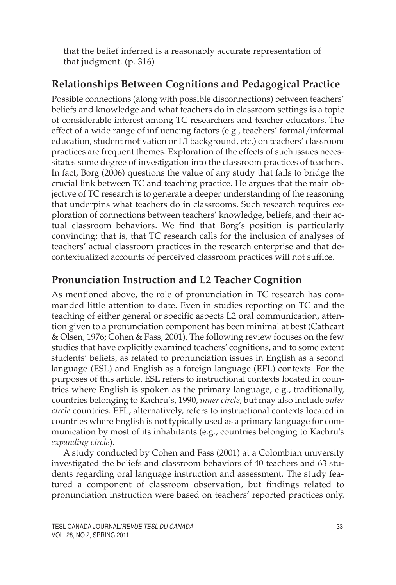that the belief inferred is a reasonably accurate representation of that judgment. (p. 316)

## **Relationships Between Cognitions and Pedagogical Practice**

Possible connections (along with possible disconnections) between teachers' beliefs and knowledge and what teachers do in classroom settings is a topic of considerable interest among TC researchers and teacher educators. The effect of a wide range of influencing factors (e.g., teachers' formal/informal education, student motivation or L1 background, etc.) on teachers' classroom practices are frequent themes. Exploration of the effects of such issues necessitates some degree of investigation into the classroom practices of teachers. In fact, Borg (2006) questions the value of any study that fails to bridge the crucial link between TC and teaching practice. He argues that the main objective of TC research is to generate a deeper understanding of the reasoning that underpins what teachers do in classrooms. Such research requires exploration of connections between teachers' knowledge, beliefs, and their actual classroom behaviors. We find that Borg's position is particularly convincing; that is, that TC research calls for the inclusion of analyses of teachers' actual classroom practices in the research enterprise and that decontextualized accounts of perceived classroom practices will not suffice.

# **Pronunciation Instruction and L2 Teacher Cognition**

As mentioned above, the role of pronunciation in TC research has commanded little attention to date. Even in studies reporting on TC and the teaching of either general or specific aspects L2 oral communication, attention given to a pronunciation component has been minimal at best (Cathcart & Olsen, 1976; Cohen & Fass, 2001). The following review focuses on the few studies that have explicitly examined teachers' cognitions, and to some extent students' beliefs, as related to pronunciation issues in English as a second language (ESL) and English as a foreign language (EFL) contexts. For the purposes of this article, ESL refers to instructional contexts located in countries where English is spoken as the primary language, e.g., traditionally, countries belonging to Kachru's, 1990, *inner circle*, but may also include *outer circle* countries. EFL, alternatively, refers to instructional contexts located in countries where English is not typically used as a primary language for communication by most of its inhabitants (e.g., countries belonging to Kachru's *expanding circle*).

A study conducted by Cohen and Fass (2001) at a Colombian university investigated the beliefs and classroom behaviors of 40 teachers and 63 students regarding oral language instruction and assessment. The study featured a component of classroom observation, but findings related to pronunciation instruction were based on teachers' reported practices only.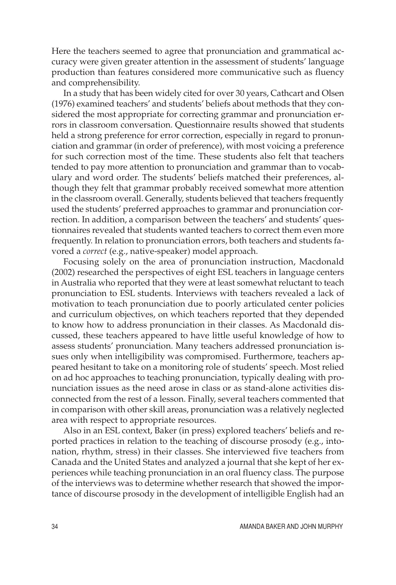Here the teachers seemed to agree that pronunciation and grammatical accuracy were given greater attention in the assessment of students' language production than features considered more communicative such as fluency and comprehensibility.

In a study that has been widely cited for over 30 years, Cathcart and Olsen (1976) examined teachers' and students' beliefs about methods that they considered the most appropriate for correcting grammar and pronunciation errors in classroom conversation. Questionnaire results showed that students held a strong preference for error correction, especially in regard to pronunciation and grammar (in order of preference), with most voicing a preference for such correction most of the time. These students also felt that teachers tended to pay more attention to pronunciation and grammar than to vocabulary and word order. The students' beliefs matched their preferences, although they felt that grammar probably received somewhat more attention in the classroom overall. Generally, students believed that teachers frequently used the students' preferred approaches to grammar and pronunciation correction. In addition, a comparison between the teachers' and students' questionnaires revealed that students wanted teachers to correct them even more frequently. In relation to pronunciation errors, both teachers and students favored a *correct* (e.g., native-speaker) model approach.

Focusing solely on the area of pronunciation instruction, Macdonald (2002) researched the perspectives of eight ESL teachers in language centers in Australia who reported that they were at least somewhat reluctant to teach pronunciation to ESL students. Interviews with teachers revealed a lack of motivation to teach pronunciation due to poorly articulated center policies and curriculum objectives, on which teachers reported that they depended to know how to address pronunciation in their classes. As Macdonald discussed, these teachers appeared to have little useful knowledge of how to assess students' pronunciation. Many teachers addressed pronunciation issues only when intelligibility was compromised. Furthermore, teachers appeared hesitant to take on a monitoring role of students' speech. Most relied on ad hoc approaches to teaching pronunciation, typically dealing with pronunciation issues as the need arose in class or as stand-alone activities disconnected from the rest of a lesson. Finally, several teachers commented that in comparison with other skill areas, pronunciation was a relatively neglected area with respect to appropriate resources.

Also in an ESL context, Baker (in press) explored teachers' beliefs and reported practices in relation to the teaching of discourse prosody (e.g., intonation, rhythm, stress) in their classes. She interviewed five teachers from Canada and the United States and analyzed a journal that she kept of her experiences while teaching pronunciation in an oral fluency class. The purpose of the interviews was to determine whether research that showed the importance of discourse prosody in the development of intelligible English had an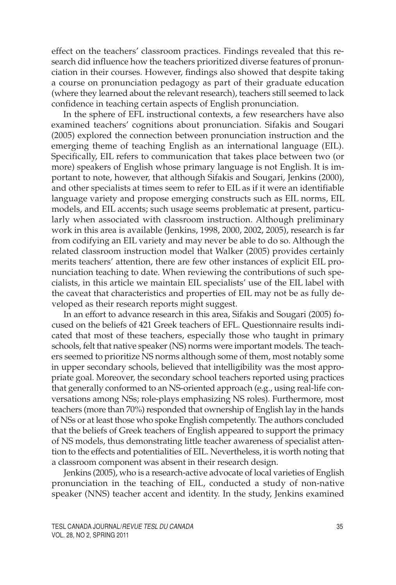effect on the teachers' classroom practices. Findings revealed that this research did influence how the teachers prioritized diverse features of pronunciation in their courses. However, findings also showed that despite taking a course on pronunciation pedagogy as part of their graduate education (where they learned about the relevant research), teachers still seemed to lack confidence in teaching certain aspects of English pronunciation.

In the sphere of EFL instructional contexts, a few researchers have also examined teachers' cognitions about pronunciation. Sifakis and Sougari (2005) explored the connection between pronunciation instruction and the emerging theme of teaching English as an international language (EIL). Specifically, EIL refers to communication that takes place between two (or more) speakers of English whose primary language is not English. It is important to note, however, that although Sifakis and Sougari, Jenkins (2000), and other specialists at times seem to refer to EIL as if it were an identifiable language variety and propose emerging constructs such as EIL norms, EIL models, and EIL accents; such usage seems problematic at present, particularly when associated with classroom instruction. Although preliminary work in this area is available (Jenkins, 1998, 2000, 2002, 2005), research is far from codifying an EIL variety and may never be able to do so. Although the related classroom instruction model that Walker (2005) provides certainly merits teachers' attention, there are few other instances of explicit EIL pronunciation teaching to date. When reviewing the contributions of such specialists, in this article we maintain EIL specialists' use of the EIL label with the caveat that characteristics and properties of EIL may not be as fully developed as their research reports might suggest.

In an effort to advance research in this area, Sifakis and Sougari (2005) focused on the beliefs of 421 Greek teachers of EFL. Questionnaire results indicated that most of these teachers, especially those who taught in primary schools, felt that native speaker (NS) norms were important models. The teachers seemed to prioritize NS norms although some of them, most notably some in upper secondary schools, believed that intelligibility was the most appropriate goal. Moreover, the secondary school teachers reported using practices that generally conformed to an NS-oriented approach (e.g., using real-life conversations among NSs; role-plays emphasizing NS roles). Furthermore, most teachers (more than 70%) responded that ownership of English lay in the hands of NSs or at least those who spoke English competently. The authors concluded that the beliefs of Greek teachers of English appeared to support the primacy of NS models, thus demonstrating little teacher awareness of specialist attention to the effects and potentialities of EIL. Nevertheless, it is worth noting that a classroom component was absent in their research design.

Jenkins (2005), who is a research-active advocate of local varieties of English pronunciation in the teaching of EIL, conducted a study of non-native speaker (NNS) teacher accent and identity. In the study, Jenkins examined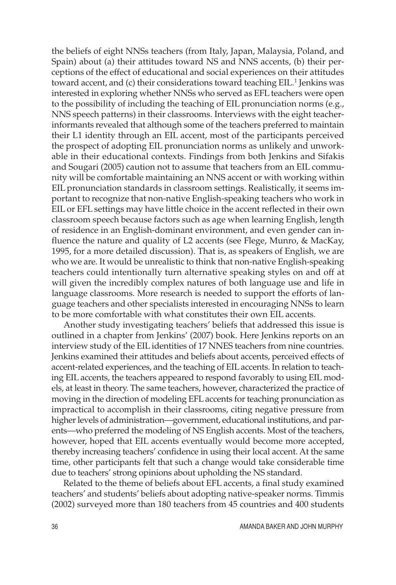the beliefs of eight NNSs teachers (from Italy, Japan, Malaysia, Poland, and Spain) about (a) their attitudes toward NS and NNS accents, (b) their perceptions of the effect of educational and social experiences on their attitudes toward accent, and (c) their considerations toward teaching EIL.<sup>1</sup> Jenkins was interested in exploring whether NNSs who served as EFL teachers were open to the possibility of including the teaching of EIL pronunciation norms (e.g., NNS speech patterns) in their classrooms. Interviews with the eight teacherinformants revealed that although some of the teachers preferred to maintain their L1 identity through an EIL accent, most of the participants perceived the prospect of adopting EIL pronunciation norms as unlikely and unworkable in their educational contexts. Findings from both Jenkins and Sifakis and Sougari (2005) caution not to assume that teachers from an EIL community will be comfortable maintaining an NNS accent or with working within EIL pronunciation standards in classroom settings. Realistically, it seems important to recognize that non-native English-speaking teachers who work in EIL or EFL settings may have little choice in the accent reflected in their own classroom speech because factors such as age when learning English, length of residence in an English-dominant environment, and even gender can influence the nature and quality of L2 accents (see Flege, Munro, & MacKay, 1995, for a more detailed discussion). That is, as speakers of English, we are who we are. It would be unrealistic to think that non-native English-speaking teachers could intentionally turn alternative speaking styles on and off at will given the incredibly complex natures of both language use and life in language classrooms. More research is needed to support the efforts of language teachers and other specialists interested in encouraging NNSs to learn to be more comfortable with what constitutes their own EIL accents.

Another study investigating teachers' beliefs that addressed this issue is outlined in a chapter from Jenkins' (2007) book. Here Jenkins reports on an interview study of the EIL identities of 17 NNES teachers from nine countries. Jenkins examined their attitudes and beliefs about accents, perceived effects of accent-related experiences, and the teaching of EIL accents. In relation to teaching EIL accents, the teachers appeared to respond favorably to using EIL models, at least in theory. The same teachers, however, characterized the practice of moving in the direction of modeling EFL accents for teaching pronunciation as impractical to accomplish in their classrooms, citing negative pressure from higher levels of administration—government, educational institutions, and parents—who preferred the modeling of NS English accents. Most of the teachers, however, hoped that EIL accents eventually would become more accepted, thereby increasing teachers' confidence in using their local accent. At the same time, other participants felt that such a change would take considerable time due to teachers' strong opinions about upholding the NS standard.

Related to the theme of beliefs about EFL accents, a final study examined teachers' and students' beliefs about adopting native-speaker norms. Timmis (2002) surveyed more than 180 teachers from 45 countries and 400 students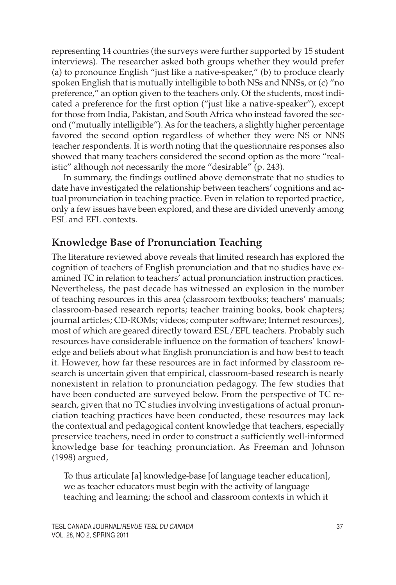representing 14 countries (the surveys were further supported by 15 student interviews). The researcher asked both groups whether they would prefer (a) to pronounce English "just like a native-speaker," (b) to produce clearly spoken English that is mutually intelligible to both NSs and NNSs, or (c) "no preference," an option given to the teachers only. Of the students, most indicated a preference for the first option ("just like a native-speaker"), except for those from India, Pakistan, and South Africa who instead favored the second ("mutually intelligible"). As for the teachers, a slightly higher percentage favored the second option regardless of whether they were NS or NNS teacher respondents. It is worth noting that the questionnaire responses also showed that many teachers considered the second option as the more "realistic" although not necessarily the more "desirable" (p. 243).

In summary, the findings outlined above demonstrate that no studies to date have investigated the relationship between teachers' cognitions and actual pronunciation in teaching practice. Even in relation to reported practice, only a few issues have been explored, and these are divided unevenly among ESL and EFL contexts.

### **Knowledge Base of Pronunciation Teaching**

The literature reviewed above reveals that limited research has explored the cognition of teachers of English pronunciation and that no studies have examined TC in relation to teachers' actual pronunciation instruction practices. Nevertheless, the past decade has witnessed an explosion in the number of teaching resources in this area (classroom textbooks; teachers' manuals; classroom-based research reports; teacher training books, book chapters; journal articles; CD-ROMs; videos; computer software; Internet resources), most of which are geared directly toward ESL/EFL teachers. Probably such resources have considerable influence on the formation of teachers' knowledge and beliefs about what English pronunciation is and how best to teach it. However, how far these resources are in fact informed by classroom research is uncertain given that empirical, classroom-based research is nearly nonexistent in relation to pronunciation pedagogy. The few studies that have been conducted are surveyed below. From the perspective of TC research, given that no TC studies involving investigations of actual pronunciation teaching practices have been conducted, these resources may lack the contextual and pedagogical content knowledge that teachers, especially preservice teachers, need in order to construct a sufficiently well-informed knowledge base for teaching pronunciation. As Freeman and Johnson (1998) argued,

To thus articulate [a] knowledge-base [of language teacher education], we as teacher educators must begin with the activity of language teaching and learning; the school and classroom contexts in which it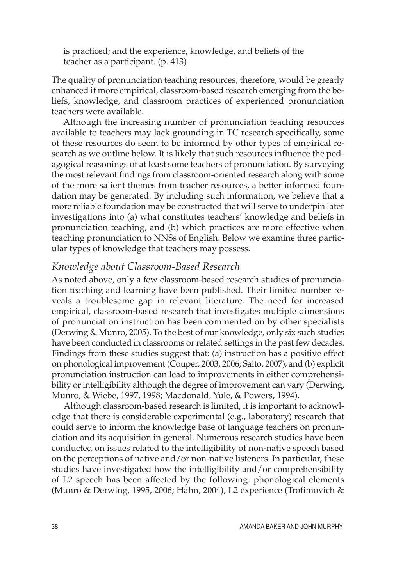is practiced; and the experience, knowledge, and beliefs of the teacher as a participant. (p. 413)

The quality of pronunciation teaching resources, therefore, would be greatly enhanced if more empirical, classroom-based research emerging from the beliefs, knowledge, and classroom practices of experienced pronunciation teachers were available.

Although the increasing number of pronunciation teaching resources available to teachers may lack grounding in TC research specifically, some of these resources do seem to be informed by other types of empirical research as we outline below. It is likely that such resources influence the pedagogical reasonings of at least some teachers of pronunciation. By surveying the most relevant findings from classroom-oriented research along with some of the more salient themes from teacher resources, a better informed foundation may be generated. By including such information, we believe that a more reliable foundation may be constructed that will serve to underpin later investigations into (a) what constitutes teachers' knowledge and beliefs in pronunciation teaching, and (b) which practices are more effective when teaching pronunciation to NNSs of English. Below we examine three particular types of knowledge that teachers may possess.

#### *Knowledge about Classroom-Based Research*

As noted above, only a few classroom-based research studies of pronunciation teaching and learning have been published. Their limited number reveals a troublesome gap in relevant literature. The need for increased empirical, classroom-based research that investigates multiple dimensions of pronunciation instruction has been commented on by other specialists (Derwing & Munro, 2005). To the best of our knowledge, only six such studies have been conducted in classrooms or related settings in the past few decades. Findings from these studies suggest that: (a) instruction has a positive effect on phonological improvement (Couper, 2003, 2006; Saito, 2007); and (b) explicit pronunciation instruction can lead to improvements in either comprehensibility or intelligibility although the degree of improvement can vary (Derwing, Munro, & Wiebe, 1997, 1998; Macdonald, Yule, & Powers, 1994).

Although classroom-based research is limited, it is important to acknowledge that there is considerable experimental (e.g., laboratory) research that could serve to inform the knowledge base of language teachers on pronunciation and its acquisition in general. Numerous research studies have been conducted on issues related to the intelligibility of non-native speech based on the perceptions of native and/or non-native listeners. In particular, these studies have investigated how the intelligibility and/or comprehensibility of L2 speech has been affected by the following: phonological elements (Munro & Derwing, 1995, 2006; Hahn, 2004), L2 experience (Trofimovich &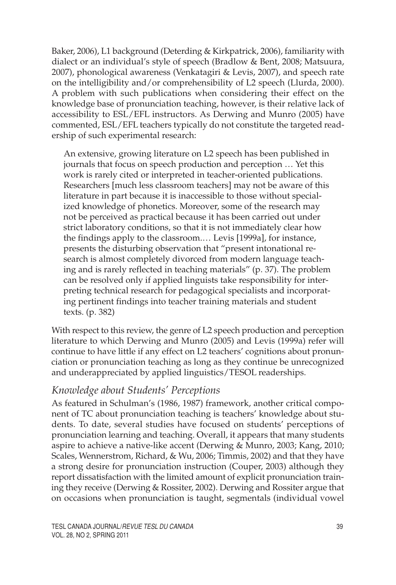Baker, 2006), L1 background (Deterding & Kirkpatrick, 2006), familiarity with dialect or an individual's style of speech (Bradlow & Bent, 2008; Matsuura, 2007), phonological awareness (Venkatagiri & Levis, 2007), and speech rate on the intelligibility and/or comprehensibility of L2 speech (Llurda, 2000). A problem with such publications when considering their effect on the knowledge base of pronunciation teaching, however, is their relative lack of accessibility to ESL/EFL instructors. As Derwing and Munro (2005) have commented, ESL/EFL teachers typically do not constitute the targeted readership of such experimental research:

An extensive, growing literature on L2 speech has been published in journals that focus on speech production and perception … Yet this work is rarely cited or interpreted in teacher-oriented publications. Researchers [much less classroom teachers] may not be aware of this literature in part because it is inaccessible to those without specialized knowledge of phonetics. Moreover, some of the research may not be perceived as practical because it has been carried out under strict laboratory conditions, so that it is not immediately clear how the findings apply to the classroom.… Levis [1999a], for instance, presents the disturbing observation that "present intonational research is almost completely divorced from modern language teaching and is rarely reflected in teaching materials" (p. 37). The problem can be resolved only if applied linguists take responsibility for interpreting technical research for pedagogical specialists and incorporating pertinent findings into teacher training materials and student texts. (p. 382)

With respect to this review, the genre of L2 speech production and perception literature to which Derwing and Munro (2005) and Levis (1999a) refer will continue to have little if any effect on L2 teachers' cognitions about pronunciation or pronunciation teaching as long as they continue be unrecognized and underappreciated by applied linguistics/TESOL readerships.

### *Knowledge about Students' Perceptions*

As featured in Schulman's (1986, 1987) framework, another critical component of TC about pronunciation teaching is teachers' knowledge about students. To date, several studies have focused on students' perceptions of pronunciation learning and teaching. Overall, it appears that many students aspire to achieve a native-like accent (Derwing & Munro, 2003; Kang, 2010; Scales, Wennerstrom, Richard, & Wu, 2006; Timmis, 2002) and that they have a strong desire for pronunciation instruction (Couper, 2003) although they report dissatisfaction with the limited amount of explicit pronunciation training they receive (Derwing & Rossiter, 2002). Derwing and Rossiter argue that on occasions when pronunciation is taught, segmentals (individual vowel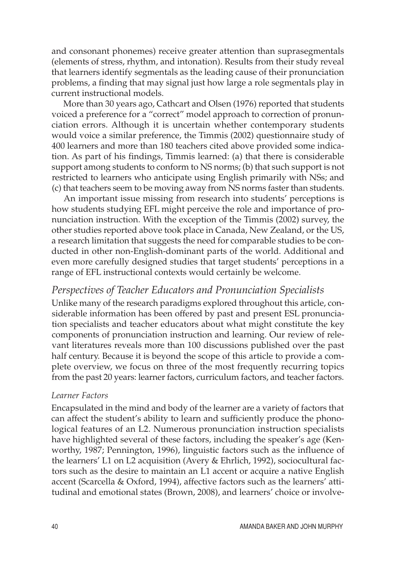and consonant phonemes) receive greater attention than suprasegmentals (elements of stress, rhythm, and intonation). Results from their study reveal that learners identify segmentals as the leading cause of their pronunciation problems, a finding that may signal just how large a role segmentals play in current instructional models.

More than 30 years ago, Cathcart and Olsen (1976) reported that students voiced a preference for a "correct" model approach to correction of pronunciation errors. Although it is uncertain whether contemporary students would voice a similar preference, the Timmis (2002) questionnaire study of 400 learners and more than 180 teachers cited above provided some indication. As part of his findings, Timmis learned: (a) that there is considerable support among students to conform to NS norms; (b) that such support is not restricted to learners who anticipate using English primarily with NSs; and (c) that teachers seem to be moving away from NS norms faster than students.

An important issue missing from research into students' perceptions is how students studying EFL might perceive the role and importance of pronunciation instruction. With the exception of the Timmis (2002) survey, the other studies reported above took place in Canada, New Zealand, or the US, a research limitation that suggests the need for comparable studies to be conducted in other non-English-dominant parts of the world. Additional and even more carefully designed studies that target students' perceptions in a range of EFL instructional contexts would certainly be welcome.

#### *Perspectives of Teacher Educators and Pronunciation Specialists*

Unlike many of the research paradigms explored throughout this article, considerable information has been offered by past and present ESL pronunciation specialists and teacher educators about what might constitute the key components of pronunciation instruction and learning. Our review of relevant literatures reveals more than 100 discussions published over the past half century. Because it is beyond the scope of this article to provide a complete overview, we focus on three of the most frequently recurring topics from the past 20 years: learner factors, curriculum factors, and teacher factors.

#### *Learner Factors*

Encapsulated in the mind and body of the learner are a variety of factors that can affect the student's ability to learn and sufficiently produce the phonological features of an L2. Numerous pronunciation instruction specialists have highlighted several of these factors, including the speaker's age (Kenworthy, 1987; Pennington, 1996), linguistic factors such as the influence of the learners' L1 on L2 acquisition (Avery & Ehrlich, 1992), sociocultural factors such as the desire to maintain an L1 accent or acquire a native English accent (Scarcella & Oxford, 1994), affective factors such as the learners' attitudinal and emotional states (Brown, 2008), and learners' choice or involve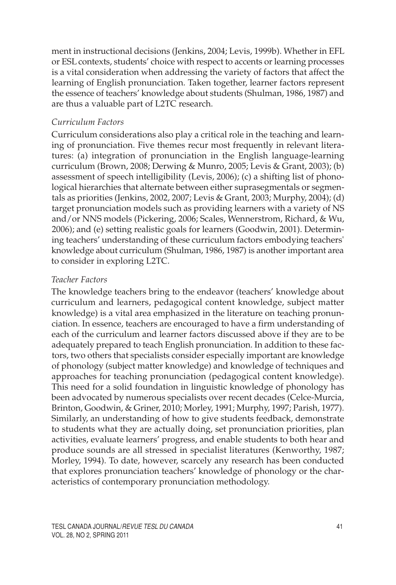ment in instructional decisions (Jenkins, 2004; Levis, 1999b). Whether in EFL or ESL contexts, students' choice with respect to accents or learning processes is a vital consideration when addressing the variety of factors that affect the learning of English pronunciation. Taken together, learner factors represent the essence of teachers' knowledge about students (Shulman, 1986, 1987) and are thus a valuable part of L2TC research.

#### *Curriculum Factors*

Curriculum considerations also play a critical role in the teaching and learning of pronunciation. Five themes recur most frequently in relevant literatures: (a) integration of pronunciation in the English language-learning curriculum (Brown, 2008; Derwing & Munro, 2005; Levis & Grant, 2003); (b) assessment of speech intelligibility (Levis, 2006); (c) a shifting list of phonological hierarchies that alternate between either suprasegmentals or segmentals as priorities (Jenkins, 2002, 2007; Levis & Grant, 2003; Murphy, 2004); (d) target pronunciation models such as providing learners with a variety of NS and/or NNS models (Pickering, 2006; Scales, Wennerstrom, Richard, & Wu, 2006); and (e) setting realistic goals for learners (Goodwin, 2001). Determining teachers' understanding of these curriculum factors embodying teachers' knowledge about curriculum (Shulman, 1986, 1987) is another important area to consider in exploring L2TC.

#### *Teacher Factors*

The knowledge teachers bring to the endeavor (teachers' knowledge about curriculum and learners, pedagogical content knowledge, subject matter knowledge) is a vital area emphasized in the literature on teaching pronunciation. In essence, teachers are encouraged to have a firm understanding of each of the curriculum and learner factors discussed above if they are to be adequately prepared to teach English pronunciation. In addition to these factors, two others that specialists consider especially important are knowledge of phonology (subject matter knowledge) and knowledge of techniques and approaches for teaching pronunciation (pedagogical content knowledge). This need for a solid foundation in linguistic knowledge of phonology has been advocated by numerous specialists over recent decades (Celce-Murcia, Brinton, Goodwin, & Griner, 2010; Morley, 1991; Murphy, 1997; Parish, 1977). Similarly, an understanding of how to give students feedback, demonstrate to students what they are actually doing, set pronunciation priorities, plan activities, evaluate learners' progress, and enable students to both hear and produce sounds are all stressed in specialist literatures (Kenworthy, 1987; Morley, 1994). To date, however, scarcely any research has been conducted that explores pronunciation teachers' knowledge of phonology or the characteristics of contemporary pronunciation methodology.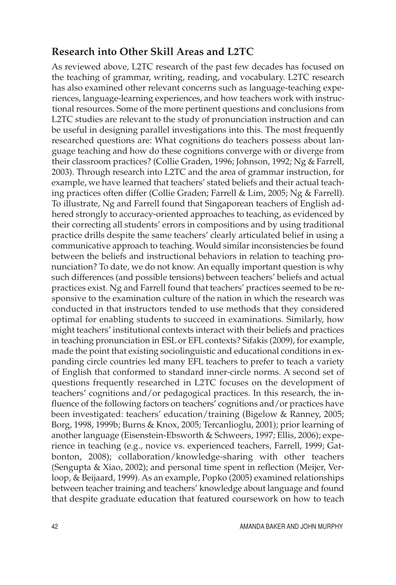### **Research into Other Skill Areas and L2TC**

As reviewed above, L2TC research of the past few decades has focused on the teaching of grammar, writing, reading, and vocabulary. L2TC research has also examined other relevant concerns such as language-teaching experiences, language-learning experiences, and how teachers work with instructional resources. Some of the more pertinent questions and conclusions from L2TC studies are relevant to the study of pronunciation instruction and can be useful in designing parallel investigations into this. The most frequently researched questions are: What cognitions do teachers possess about language teaching and how do these cognitions converge with or diverge from their classroom practices? (Collie Graden, 1996; Johnson, 1992; Ng & Farrell, 2003). Through research into L2TC and the area of grammar instruction, for example, we have learned that teachers' stated beliefs and their actual teaching practices often differ (Collie Graden; Farrell & Lim, 2005; Ng & Farrell). To illustrate, Ng and Farrell found that Singaporean teachers of English adhered strongly to accuracy-oriented approaches to teaching, as evidenced by their correcting all students' errors in compositions and by using traditional practice drills despite the same teachers' clearly articulated belief in using a communicative approach to teaching. Would similar inconsistencies be found between the beliefs and instructional behaviors in relation to teaching pronunciation? To date, we do not know. An equally important question is why such differences (and possible tensions) between teachers' beliefs and actual practices exist. Ng and Farrell found that teachers' practices seemed to be responsive to the examination culture of the nation in which the research was conducted in that instructors tended to use methods that they considered optimal for enabling students to succeed in examinations. Similarly, how might teachers' institutional contexts interact with their beliefs and practices in teaching pronunciation in ESL or EFL contexts? Sifakis (2009), for example, made the point that existing sociolinguistic and educational conditions in expanding circle countries led many EFL teachers to prefer to teach a variety of English that conformed to standard inner-circle norms. A second set of questions frequently researched in L2TC focuses on the development of teachers' cognitions and/or pedagogical practices. In this research, the influence of the following factors on teachers' cognitions and/or practices have been investigated: teachers' education/training (Bigelow & Ranney, 2005; Borg, 1998, 1999b; Burns & Knox, 2005; Tercanlioglu, 2001); prior learning of another language (Eisenstein-Ebsworth & Schweers, 1997; Ellis, 2006); experience in teaching (e.g., novice vs. experienced teachers, Farrell, 1999; Gatbonton, 2008); collaboration/knowledge-sharing with other teachers (Sengupta & Xiao, 2002); and personal time spent in reflection (Meijer, Verloop, & Beijaard, 1999). As an example, Popko (2005) examined relationships between teacher training and teachers' knowledge about language and found that despite graduate education that featured coursework on how to teach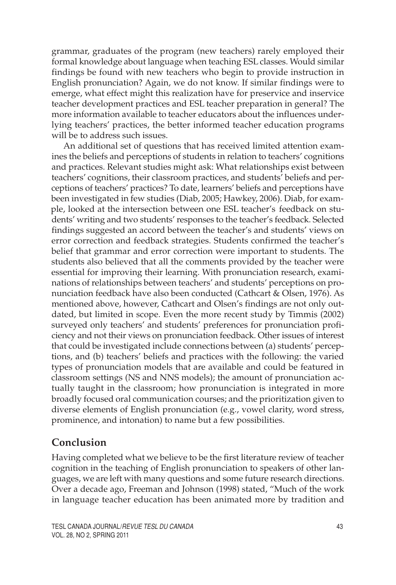grammar, graduates of the program (new teachers) rarely employed their formal knowledge about language when teaching ESL classes. Would similar findings be found with new teachers who begin to provide instruction in English pronunciation? Again, we do not know. If similar findings were to emerge, what effect might this realization have for preservice and inservice teacher development practices and ESL teacher preparation in general? The more information available to teacher educators about the influences underlying teachers' practices, the better informed teacher education programs will be to address such issues.

An additional set of questions that has received limited attention examines the beliefs and perceptions of students in relation to teachers' cognitions and practices. Relevant studies might ask: What relationships exist between teachers' cognitions, their classroom practices, and students' beliefs and perceptions of teachers' practices? To date, learners' beliefs and perceptions have been investigated in few studies (Diab, 2005; Hawkey, 2006). Diab, for example, looked at the intersection between one ESL teacher's feedback on students' writing and two students' responses to the teacher's feedback. Selected findings suggested an accord between the teacher's and students' views on error correction and feedback strategies. Students confirmed the teacher's belief that grammar and error correction were important to students. The students also believed that all the comments provided by the teacher were essential for improving their learning. With pronunciation research, examinations of relationships between teachers' and students' perceptions on pronunciation feedback have also been conducted (Cathcart & Olsen, 1976). As mentioned above, however, Cathcart and Olsen's findings are not only outdated, but limited in scope. Even the more recent study by Timmis (2002) surveyed only teachers' and students' preferences for pronunciation proficiency and not their views on pronunciation feedback. Other issues of interest that could be investigated include connections between (a) students' perceptions, and (b) teachers' beliefs and practices with the following: the varied types of pronunciation models that are available and could be featured in classroom settings (NS and NNS models); the amount of pronunciation actually taught in the classroom; how pronunciation is integrated in more broadly focused oral communication courses; and the prioritization given to diverse elements of English pronunciation (e.g., vowel clarity, word stress, prominence, and intonation) to name but a few possibilities.

### **Conclusion**

Having completed what we believe to be the first literature review of teacher cognition in the teaching of English pronunciation to speakers of other languages, we are left with many questions and some future research directions. Over a decade ago, Freeman and Johnson (1998) stated, "Much of the work in language teacher education has been animated more by tradition and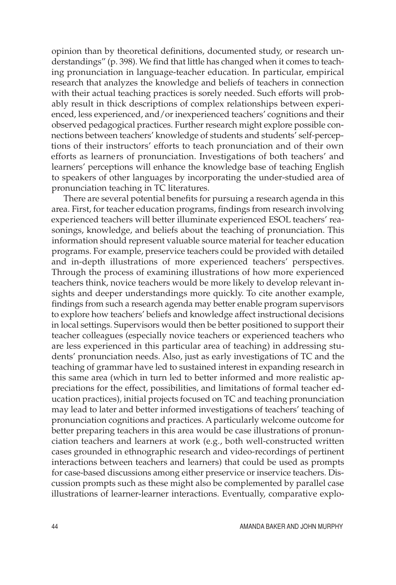opinion than by theoretical definitions, documented study, or research understandings" (p. 398). We find that little has changed when it comes to teaching pronunciation in language-teacher education. In particular, empirical research that analyzes the knowledge and beliefs of teachers in connection with their actual teaching practices is sorely needed. Such efforts will probably result in thick descriptions of complex relationships between experienced, less experienced, and/or inexperienced teachers' cognitions and their observed pedagogical practices. Further research might explore possible connections between teachers' knowledge of students and students' self-perceptions of their instructors' efforts to teach pronunciation and of their own efforts as learners of pronunciation. Investigations of both teachers' and learners' perceptions will enhance the knowledge base of teaching English to speakers of other languages by incorporating the under-studied area of pronunciation teaching in TC literatures.

There are several potential benefits for pursuing a research agenda in this area. First, for teacher education programs, findings from research involving experienced teachers will better illuminate experienced ESOL teachers' reasonings, knowledge, and beliefs about the teaching of pronunciation. This information should represent valuable source material for teacher education programs. For example, preservice teachers could be provided with detailed and in-depth illustrations of more experienced teachers' perspectives. Through the process of examining illustrations of how more experienced teachers think, novice teachers would be more likely to develop relevant insights and deeper understandings more quickly. To cite another example, findings from such a research agenda may better enable program supervisors to explore how teachers' beliefs and knowledge affect instructional decisions in local settings. Supervisors would then be better positioned to support their teacher colleagues (especially novice teachers or experienced teachers who are less experienced in this particular area of teaching) in addressing students' pronunciation needs. Also, just as early investigations of TC and the teaching of grammar have led to sustained interest in expanding research in this same area (which in turn led to better informed and more realistic appreciations for the effect, possibilities, and limitations of formal teacher education practices), initial projects focused on TC and teaching pronunciation may lead to later and better informed investigations of teachers' teaching of pronunciation cognitions and practices. A particularly welcome outcome for better preparing teachers in this area would be case illustrations of pronunciation teachers and learners at work (e.g., both well-constructed written cases grounded in ethnographic research and video-recordings of pertinent interactions between teachers and learners) that could be used as prompts for case-based discussions among either preservice or inservice teachers. Discussion prompts such as these might also be complemented by parallel case illustrations of learner-learner interactions. Eventually, comparative explo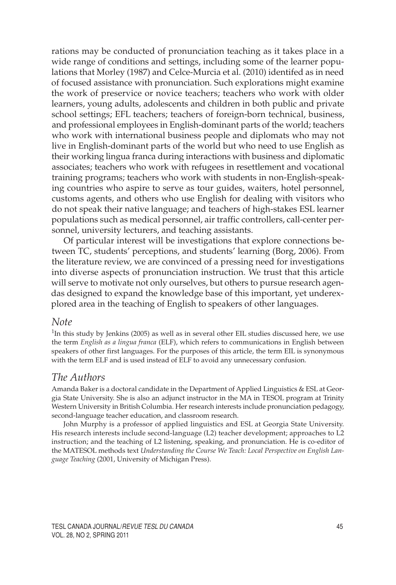rations may be conducted of pronunciation teaching as it takes place in a wide range of conditions and settings, including some of the learner populations that Morley (1987) and Celce-Murcia et al. (2010) identifed as in need of focused assistance with pronunciation. Such explorations might examine the work of preservice or novice teachers; teachers who work with older learners, young adults, adolescents and children in both public and private school settings; EFL teachers; teachers of foreign-born technical, business, and professional employees in English-dominant parts of the world; teachers who work with international business people and diplomats who may not live in English-dominant parts of the world but who need to use English as their working lingua franca during interactions with business and diplomatic associates; teachers who work with refugees in resettlement and vocational training programs; teachers who work with students in non-English-speaking countries who aspire to serve as tour guides, waiters, hotel personnel, customs agents, and others who use English for dealing with visitors who do not speak their native language; and teachers of high-stakes ESL learner populations such as medical personnel, air traffic controllers, call-center personnel, university lecturers, and teaching assistants.

Of particular interest will be investigations that explore connections between TC, students' perceptions, and students' learning (Borg, 2006). From the literature review, we are convinced of a pressing need for investigations into diverse aspects of pronunciation instruction. We trust that this article will serve to motivate not only ourselves, but others to pursue research agendas designed to expand the knowledge base of this important, yet underexplored area in the teaching of English to speakers of other languages.

#### *Note*

<sup>1</sup>In this study by Jenkins (2005) as well as in several other EIL studies discussed here, we use the term *English as a lingua franca* (ELF), which refers to communications in English between speakers of other first languages. For the purposes of this article, the term EIL is synonymous with the term ELF and is used instead of ELF to avoid any unnecessary confusion.

#### *The Authors*

Amanda Baker is a doctoral candidate in the Department of Applied Linguistics & ESL at Georgia State University. She is also an adjunct instructor in the MA in TESOL program at Trinity Western University in British Columbia. Her research interests include pronunciation pedagogy, second-language teacher education, and classroom research.

John Murphy is a professor of applied linguistics and ESL at Georgia State University. His research interests include second-language (L2) teacher development; approaches to L2 instruction; and the teaching of L2 listening, speaking, and pronunciation. He is co-editor of the MATESOL methods text *Understanding the Course We Teach: Local Perspective on English Language Teaching* (2001, University of Michigan Press).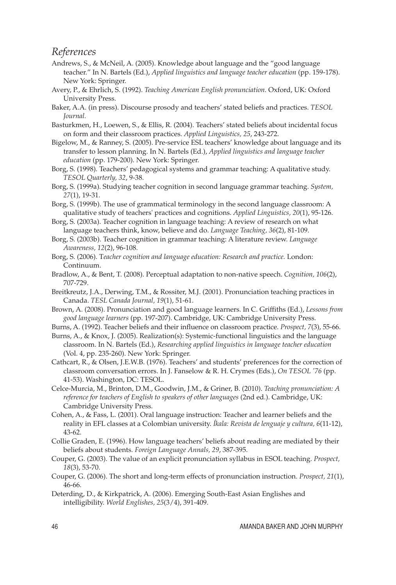#### *References*

- Andrews, S., & McNeil, A. (2005). Knowledge about language and the "good language teacher." In N. Bartels (Ed.), *Applied linguistics and language teacher education* (pp. 159-178). New York: Springer.
- Avery, P., & Ehrlich, S. (1992). *Teaching American English pronunciation.* Oxford, UK: Oxford University Press.
- Baker, A.A. (in press). Discourse prosody and teachers' stated beliefs and practices. *TESOL Journal.*
- Basturkmen, H., Loewen, S., & Ellis, R. (2004). Teachers' stated beliefs about incidental focus on form and their classroom practices. *Applied Linguistics, 25*, 243-272.
- Bigelow, M., & Ranney, S. (2005). Pre-service ESL teachers' knowledge about language and its transfer to lesson planning. In N. Bartels (Ed.), *Applied linguistics and language teacher education* (pp. 179-200). New York: Springer.
- Borg, S. (1998). Teachers' pedagogical systems and grammar teaching: A qualitative study. *TESOL Quarterly, 32*, 9-38.
- Borg, S. (1999a). Studying teacher cognition in second language grammar teaching. *System, 27*(1), 19-31.
- Borg, S. (1999b). The use of grammatical terminology in the second language classroom: A qualitative study of teachers' practices and cognitions. *Applied Linguistics, 20*(1), 95-126.
- Borg, S. (2003a). Teacher cognition in language teaching: A review of research on what language teachers think, know, believe and do. *Language Teaching, 36*(2), 81-109.
- Borg, S. (2003b). Teacher cognition in grammar teaching: A literature review. *Language Awareness, 12*(2), 96-108.
- Borg, S. (2006). T*eacher cognition and language education: Research and practice.* London: Continuum.
- Bradlow, A., & Bent, T. (2008). Perceptual adaptation to non-native speech. *Cognition, 106*(2), 707-729.
- Breitkreutz, J.A., Derwing, T.M., & Rossiter, M.J. (2001). Pronunciation teaching practices in Canada. *TESL Canada Journal, 19*(1), 51-61.
- Brown, A. (2008). Pronunciation and good language learners. In C. Griffiths (Ed.), *Lessons from good language learners* (pp. 197-207). Cambridge, UK: Cambridge University Press.
- Burns, A. (1992). Teacher beliefs and their influence on classroom practice. *Prospect, 7*(3), 55-66.
- Burns, A., & Knox, J. (2005). Realization(s): Systemic-functional linguistics and the language classroom. In N. Bartels (Ed.), *Researching applied linguistics in language teacher education* (Vol. 4, pp. 235-260). New York: Springer.
- Cathcart, R., & Olsen, J.E.W.B. (1976). Teachers' and students' preferences for the correction of classroom conversation errors. In J. Fanselow & R. H. Crymes (Eds.), *On TESOL '76* (pp. 41-53). Washington, DC: TESOL.
- Celce-Murcia, M., Brinton, D.M., Goodwin, J.M., & Griner, B. (2010). *Teaching pronunciation: A reference for teachers of English to speakers of other languages* (2nd ed.). Cambridge, UK: Cambridge University Press.
- Cohen, A., & Fass, L. (2001). Oral language instruction: Teacher and learner beliefs and the reality in EFL classes at a Colombian university. *Íkala: Revista de lenguaje y cultura, 6*(11-12), 43-62.
- Collie Graden, E. (1996). How language teachers' beliefs about reading are mediated by their beliefs about students. *Foreign Language Annals, 29*, 387-395.
- Couper, G. (2003). The value of an explicit pronunciation syllabus in ESOL teaching. *Prospect, 18*(3), 53-70.
- Couper, G. (2006). The short and long-term effects of pronunciation instruction. *Prospect, 21*(1), 46-66.
- Deterding, D., & Kirkpatrick, A. (2006). Emerging South-East Asian Englishes and intelligibility. *World Englishes, 25*(3/4), 391-409.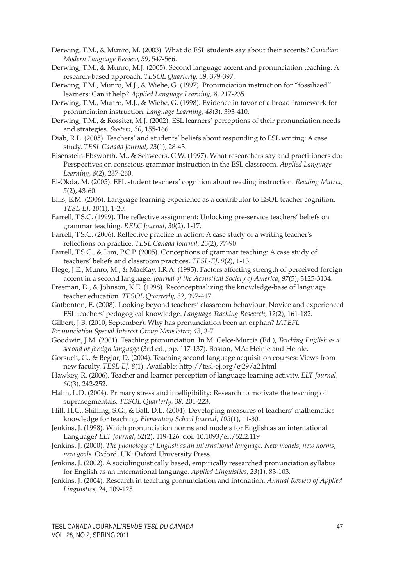- Derwing, T.M., & Munro, M. (2003). What do ESL students say about their accents? *Canadian Modern Language Review, 59*, 547-566.
- Derwing, T.M., & Munro, M.J. (2005). Second language accent and pronunciation teaching: A research-based approach. *TESOL Quarterly, 39*, 379-397.
- Derwing, T.M., Munro, M.J., & Wiebe, G. (1997). Pronunciation instruction for "fossilized" learners: Can it help? *Applied Language Learning, 8,* 217-235.
- Derwing, T.M., Munro, M.J., & Wiebe, G. (1998). Evidence in favor of a broad framework for pronunciation instruction. *Language Learning, 48*(3), 393-410.
- Derwing, T.M., & Rossiter, M.J. (2002). ESL learners' perceptions of their pronunciation needs and strategies. *System, 30*, 155-166.
- Diab, R.L. (2005). Teachers' and students' beliefs about responding to ESL writing: A case study. *TESL Canada Journal, 23*(1), 28-43.
- Eisenstein-Ebsworth, M., & Schweers, C.W. (1997). What researchers say and practitioners do: Perspectives on conscious grammar instruction in the ESL classroom. *Applied Language Learning, 8*(2), 237-260.
- El-Okda, M. (2005). EFL student teachers' cognition about reading instruction. *Reading Matrix, 5*(2), 43-60.
- Ellis, E.M. (2006). Language learning experience as a contributor to ESOL teacher cognition. *TESL-EJ, 10*(1), 1-20.
- Farrell, T.S.C. (1999). The reflective assignment: Unlocking pre-service teachers' beliefs on grammar teaching. *RELC Journal, 30*(2), 1-17.
- Farrell, T.S.C. (2006). Reflective practice in action: A case study of a writing teacher's reflections on practice. *TESL Canada Journal, 23*(2), 77-90.
- Farrell, T.S.C., & Lim, P.C.P. (2005). Conceptions of grammar teaching: A case study of teachers' beliefs and classroom practices. *TESL-EJ, 9*(2), 1-13.
- Flege, J.E., Munro, M., & MacKay, I.R.A. (1995). Factors affecting strength of perceived foreign accent in a second language. *Journal of the Acoustical Society of America, 97*(5), 3125-3134.
- Freeman, D., & Johnson, K.E. (1998). Reconceptualizing the knowledge-base of language teacher education. *TESOL Quarterly, 32*, 397-417.
- Gatbonton, E. (2008). Looking beyond teachers' classroom behaviour: Novice and experienced ESL teachers' pedagogical knowledge. *Language Teaching Research, 12*(2), 161-182.
- Gilbert, J.B. (2010, September). Why has pronunciation been an orphan? *IATEFL*
- *Pronunciation Special Interest Group Newsletter, 43*, 3-7.
- Goodwin, J.M. (2001). Teaching pronunciation. In M. Celce-Murcia (Ed.), *Teaching English as a second or foreign language* (3rd ed., pp. 117-137). Boston, MA: Heinle and Heinle.
- Gorsuch, G., & Beglar, D. (2004). Teaching second language acquisition courses: Views from new faculty. *TESL-EJ, 8*(1). Available: http://tesl-ej.org/ej29/a2.html
- Hawkey, R. (2006). Teacher and learner perception of language learning activity. *ELT Journal, 60*(3), 242-252.
- Hahn, L.D. (2004). Primary stress and intelligibility: Research to motivate the teaching of suprasegmentals. *TESOL Quarterly, 38*, 201-223.
- Hill, H.C., Shilling, S.G., & Ball, D.L. (2004). Developing measures of teachers' mathematics knowledge for teaching. *Elementary School Journal, 105*(1), 11-30.
- Jenkins, J. (1998). Which pronunciation norms and models for English as an international Language? *ELT Journal, 52*(2), 119-126. doi: 10.1093/elt/52.2.119
- Jenkins, J. (2000). *The phonology of English as an international language: New models, new norms, new goals.* Oxford, UK: Oxford University Press.
- Jenkins, J. (2002). A sociolinguistically based, empirically researched pronunciation syllabus for English as an international language. *Applied Linguistics, 23*(1), 83-103.
- Jenkins, J. (2004). Research in teaching pronunciation and intonation. *Annual Review of Applied Linguistics, 24*, 109-125.

TESL CANADA JOURNAL/*REVUE TESL DU CANADA* 47 VOL. 28, NO 2, SPRING 2011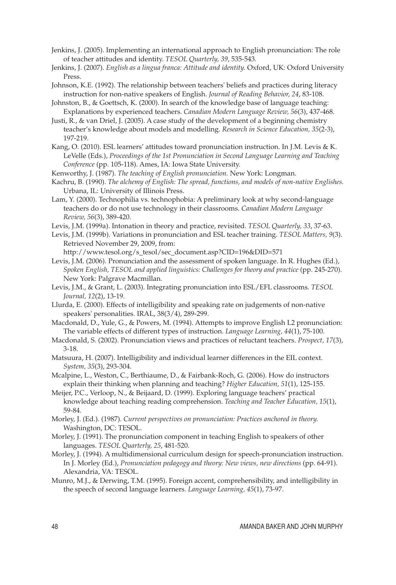- Jenkins, J. (2005). Implementing an international approach to English pronunciation: The role of teacher attitudes and identity. *TESOL Quarterly, 39*, 535-543.
- Jenkins, J. (2007). *English as a lingua franca: Attitude and identity.* Oxford, UK: Oxford University Press.
- Johnson, K.E. (1992). The relationship between teachers' beliefs and practices during literacy instruction for non-native speakers of English. *Journal of Reading Behavior, 24*, 83-108.
- Johnston, B., & Goettsch, K. (2000). In search of the knowledge base of language teaching: Explanations by experienced teachers. *Canadian Modern Language Review, 56*(3), 437-468.
- Justi, R., & van Driel, J. (2005). A case study of the development of a beginning chemistry teacher's knowledge about models and modelling. *Research in Science Education, 35*(2-3), 197-219.
- Kang, O. (2010). ESL learners' attitudes toward pronunciation instruction. In J.M. Levis & K. LeVelle (Eds.), *Proceedings of the 1st Pronunciation in Second Language Learning and Teaching Conference* (pp. 105-118). Ames, IA: Iowa State University.
- Kenworthy, J. (1987). *The teaching of English pronunciation.* New York: Longman.
- Kachru, B. (1990). *The alchemy of English: The spread, functions, and models of non-native Englishes.* Urbana, IL: University of Illinois Press.
- Lam, Y. (2000). Technophilia vs. technophobia: A preliminary look at why second-language teachers do or do not use technology in their classrooms. *Canadian Modern Language Review, 56*(3), 389-420.
- Levis, J.M. (1999a). Intonation in theory and practice, revisited. *TESOL Quarterly, 33*, 37-63.
- Levis, J.M. (1999b). Variations in pronunciation and ESL teacher training. *TESOL Matters, 9*(3). Retrieved November 29, 2009, from:

http://www.tesol.org/s\_tesol/sec\_document.asp?CID=196&DID=571

- Levis, J.M. (2006). Pronunciation and the assessment of spoken language. In R. Hughes (Ed.), Spoken English, TESOL and applied linguistics: Challenges for theory and practice (pp. 245-270). New York: Palgrave Macmillan.
- Levis, J.M., & Grant, L. (2003). Integrating pronunciation into ESL/EFL classrooms. *TESOL Journal, 12*(2), 13-19.
- Llurda, E. (2000). Effects of intelligibility and speaking rate on judgements of non-native speakers' personalities. IRAL, 38(3/4), 289-299.
- Macdonald, D., Yule, G., & Powers, M. (1994). Attempts to improve English L2 pronunciation: The variable effects of different types of instruction. *Language Learning, 44*(1), 75-100.
- Macdonald, S. (2002). Pronunciation views and practices of reluctant teachers. *Prospect, 17*(3), 3-18.
- Matsuura, H. (2007). Intelligibility and individual learner differences in the EIL context. *System, 35*(3), 293-304.
- Mcalpine, L., Weston, C., Berthiaume, D., & Fairbank-Roch, G. (2006). How do instructors explain their thinking when planning and teaching? *Higher Education, 51*(1), 125-155.
- Meijer, P.C., Verloop, N., & Beijaard, D. (1999). Exploring language teachers' practical knowledge about teaching reading comprehension. *Teaching and Teacher Education, 15*(1), 59-84.
- Morley, J. (Ed.). (1987). *Current perspectives on pronunciation: Practices anchored in theory.* Washington, DC: TESOL.
- Morley, J. (1991). The pronunciation component in teaching English to speakers of other languages. *TESOL Quarterly, 25*, 481-520.
- Morley, J. (1994). A multidimensional curriculum design for speech-pronunciation instruction. In J. Morley (Ed.), *Pronunciation pedagogy and theory: New views, new directions* (pp. 64-91). Alexandria, VA: TESOL.
- Munro, M.J., & Derwing, T.M. (1995). Foreign accent, comprehensibility, and intelligibility in the speech of second language learners. *Language Learning, 45*(1), 73-97.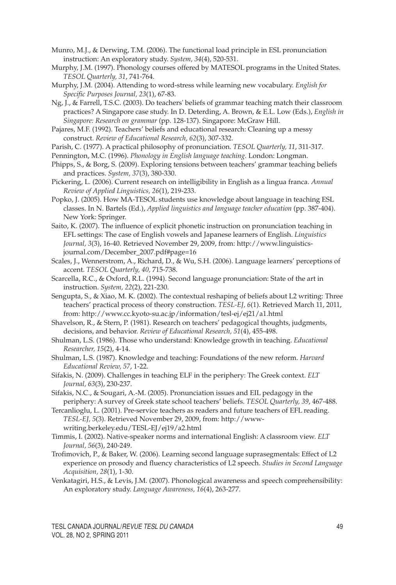- Munro, M.J., & Derwing, T.M. (2006). The functional load principle in ESL pronunciation instruction: An exploratory study. *System, 34*(4), 520-531.
- Murphy, J.M. (1997). Phonology courses offered by MATESOL programs in the United States. *TESOL Quarterly, 31*, 741-764.
- Murphy, J.M. (2004). Attending to word-stress while learning new vocabulary. *English for Specific Purposes Journal, 23*(1), 67-83.
- Ng, J., & Farrell, T.S.C. (2003). Do teachers' beliefs of grammar teaching match their classroom practices? A Singapore case study. In D. Deterding, A. Brown, & E.L. Low (Eds.), *English in Singapore: Research on grammar* (pp. 128-137). Singapore: McGraw Hill.
- Pajares, M.F. (1992). Teachers' beliefs and educational research: Cleaning up a messy construct. *Review of Educational Research, 62*(3), 307-332.
- Parish, C. (1977). A practical philosophy of pronunciation. *TESOL Quarterly, 11*, 311-317.
- Pennington, M.C. (1996). *Phonology in English language teaching.* London: Longman.
- Phipps, S., & Borg, S. (2009). Exploring tensions between teachers' grammar teaching beliefs and practices. *System, 37*(3), 380-330.
- Pickering, L. (2006). Current research on intelligibility in English as a lingua franca. *Annual Review of Applied Linguistics, 26*(1), 219-233.
- Popko, J. (2005). How MA-TESOL students use knowledge about language in teaching ESL classes. In N. Bartels (Ed.), *Applied linguistics and language teacher education* (pp. 387-404). New York: Springer.
- Saito, K. (2007). The influence of explicit phonetic instruction on pronunciation teaching in EFL settings: The case of English vowels and Japanese learners of English. *Linguistics Journal, 3*(3), 16-40. Retrieved November 29, 2009, from: http://www.linguisticsjournal.com/December\_2007.pdf#page=16
- Scales, J., Wennerstrom, A., Richard, D., & Wu, S.H. (2006). Language learners' perceptions of accent. *TESOL Quarterly, 40,* 715-738.
- Scarcella, R.C., & Oxford, R.L. (1994). Second language pronunciation: State of the art in instruction. *System, 22*(2), 221-230.
- Sengupta, S., & Xiao, M. K. (2002). The contextual reshaping of beliefs about L2 writing: Three teachers' practical process of theory construction. *TESL-EJ, 6*(1). Retrieved March 11, 2011, from: http://www.cc.kyoto-su.ac.jp/information/tesl-ej/ej21/a1.html
- Shavelson, R., & Stern, P. (1981). Research on teachers' pedagogical thoughts, judgments, decisions, and behavior. *Review of Educational Research, 51*(4), 455-498.
- Shulman, L.S. (1986). Those who understand: Knowledge growth in teaching. *Educational Researcher, 15*(2), 4-14.
- Shulman, L.S. (1987). Knowledge and teaching: Foundations of the new reform. *Harvard Educational Review, 57*, 1-22.
- Sifakis, N. (2009). Challenges in teaching ELF in the periphery: The Greek context. *ELT Journal, 63*(3), 230-237.
- Sifakis, N.C., & Sougari, A.-M. (2005). Pronunciation issues and EIL pedagogy in the periphery: A survey of Greek state school teachers' beliefs. *TESOL Quarterly, 39*, 467-488.
- Tercanlioglu, L. (2001). Pre-service teachers as readers and future teachers of EFL reading. *TESL-EJ, 5*(3). Retrieved November 29, 2009, from: http://wwwwriting.berkeley.edu/TESL-EJ/ej19/a2.html
- Timmis, I. (2002). Native-speaker norms and international English: A classroom view. *ELT Journal, 56*(3), 240-249.
- Trofimovich, P., & Baker, W. (2006). Learning second language suprasegmentals: Effect of L2 experience on prosody and fluency characteristics of L2 speech. *Studies in Second Language Acquisition, 28*(1), 1-30.
- Venkatagiri, H.S., & Levis, J.M. (2007). Phonological awareness and speech comprehensibility: An exploratory study. *Language Awareness, 16*(4), 263-277.

TESL CANADA JOURNAL/*REVUE TESL DU CANADA* 49 VOL. 28, NO 2, SPRING 2011